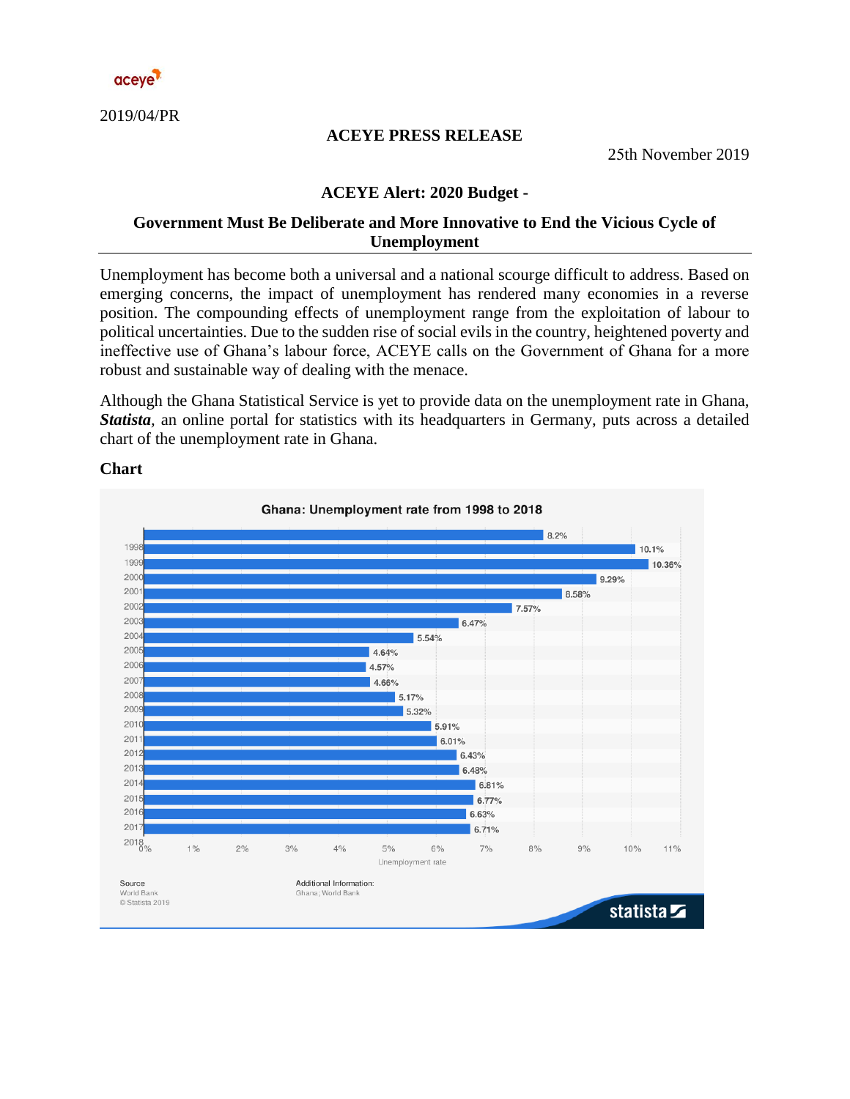

2019/04/PR

#### **ACEYE PRESS RELEASE**

25th November 2019

#### **ACEYE Alert: 2020 Budget -**

### **Government Must Be Deliberate and More Innovative to End the Vicious Cycle of Unemployment**

Unemployment has become both a universal and a national scourge difficult to address. Based on emerging concerns, the impact of unemployment has rendered many economies in a reverse position. The compounding effects of unemployment range from the exploitation of labour to political uncertainties. Due to the sudden rise of social evils in the country, heightened poverty and ineffective use of Ghana's labour force, ACEYE calls on the Government of Ghana for a more robust and sustainable way of dealing with the menace.

Although the Ghana Statistical Service is yet to provide data on the unemployment rate in Ghana, *Statista,* an online portal for statistics with its headquarters in Germany, puts across a detailed chart of the unemployment rate in Ghana.



**Chart**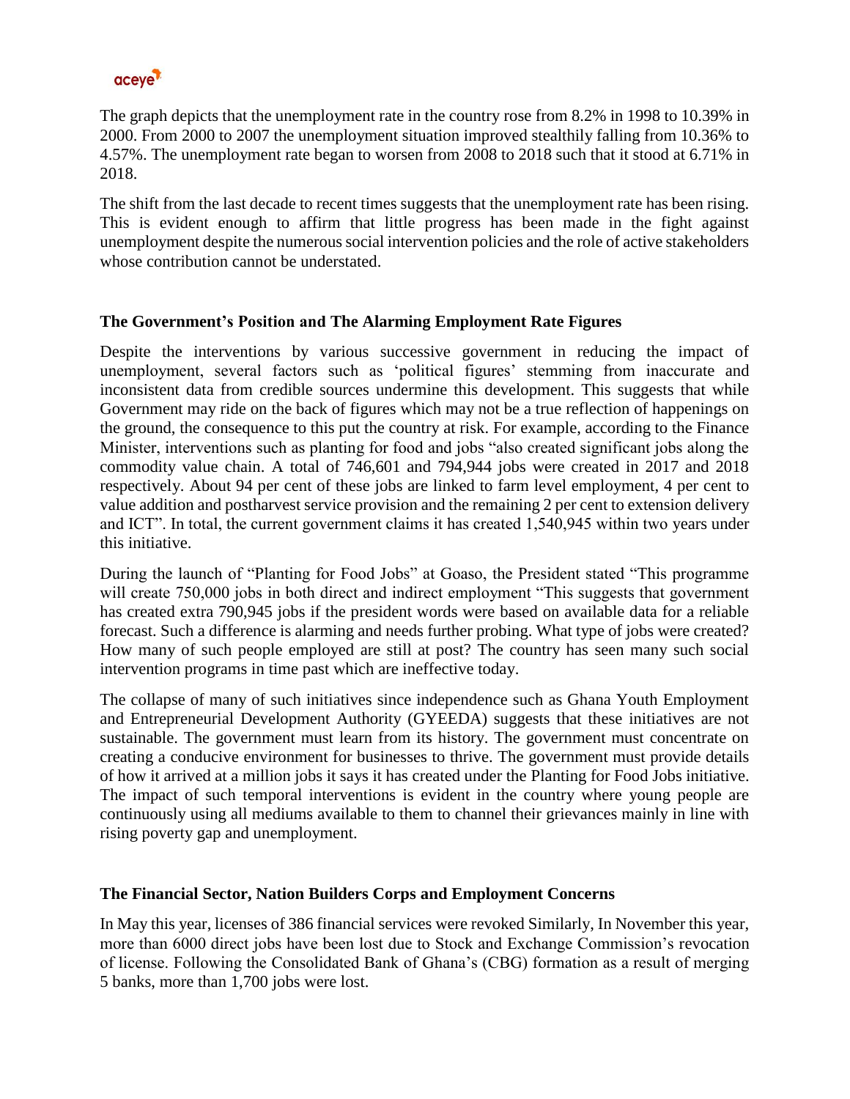

The graph depicts that the unemployment rate in the country rose from 8.2% in 1998 to 10.39% in 2000. From 2000 to 2007 the unemployment situation improved stealthily falling from 10.36% to 4.57%. The unemployment rate began to worsen from 2008 to 2018 such that it stood at 6.71% in 2018.

The shift from the last decade to recent times suggests that the unemployment rate has been rising. This is evident enough to affirm that little progress has been made in the fight against unemployment despite the numerous social intervention policies and the role of active stakeholders whose contribution cannot be understated.

## **The Government's Position and The Alarming Employment Rate Figures**

Despite the interventions by various successive government in reducing the impact of unemployment, several factors such as 'political figures' stemming from inaccurate and inconsistent data from credible sources undermine this development. This suggests that while Government may ride on the back of figures which may not be a true reflection of happenings on the ground, the consequence to this put the country at risk. For example, according to the Finance Minister, interventions such as planting for food and jobs "also created significant jobs along the commodity value chain. A total of 746,601 and 794,944 jobs were created in 2017 and 2018 respectively. About 94 per cent of these jobs are linked to farm level employment, 4 per cent to value addition and postharvest service provision and the remaining 2 per cent to extension delivery and ICT". In total, the current government claims it has created 1,540,945 within two years under this initiative.

During the launch of "Planting for Food Jobs" at Goaso, the President stated "This programme will create 750,000 jobs in both direct and indirect employment "This suggests that government has created extra 790,945 jobs if the president words were based on available data for a reliable forecast. Such a difference is alarming and needs further probing. What type of jobs were created? How many of such people employed are still at post? The country has seen many such social intervention programs in time past which are ineffective today.

The collapse of many of such initiatives since independence such as Ghana Youth Employment and Entrepreneurial Development Authority (GYEEDA) suggests that these initiatives are not sustainable. The government must learn from its history. The government must concentrate on creating a conducive environment for businesses to thrive. The government must provide details of how it arrived at a million jobs it says it has created under the Planting for Food Jobs initiative. The impact of such temporal interventions is evident in the country where young people are continuously using all mediums available to them to channel their grievances mainly in line with rising poverty gap and unemployment.

# **The Financial Sector, Nation Builders Corps and Employment Concerns**

In May this year, licenses of 386 financial services were revoked Similarly, In November this year, more than 6000 direct jobs have been lost due to Stock and Exchange Commission's revocation of license. Following the Consolidated Bank of Ghana's (CBG) formation as a result of merging 5 banks, more than 1,700 jobs were lost.